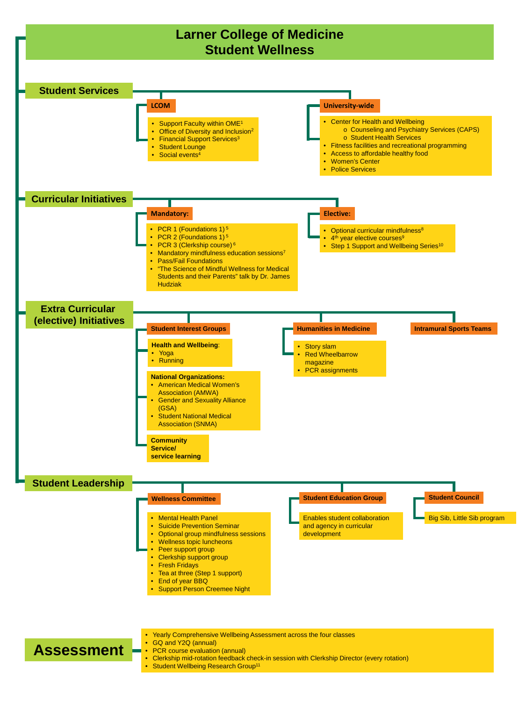## **Assessment** • Yearly Comprehensive Wellbeing Assessment across the four classes • GQ and Y2Q (annual) • PCR course evaluation (annual) • Clerkship mid-rotation feedback check-in session with Clerkship Director (every rotation) • Student Wellbeing Research Group<sup>11</sup>



- Mental Health Panel
- Suicide Prevention Seminar
- Optional group mindfulness sessions
- Wellness topic luncheons
- Peer support group
- Clerkship support group
- Fresh Fridays
- Tea at three (Step 1 support)
- End of year BBQ
- Support Person Creemee Night

## **Wellness Committee Student Education Group Student Council**

Enables student collaboration and agency in curricular development

Big Sib, Little Sib program